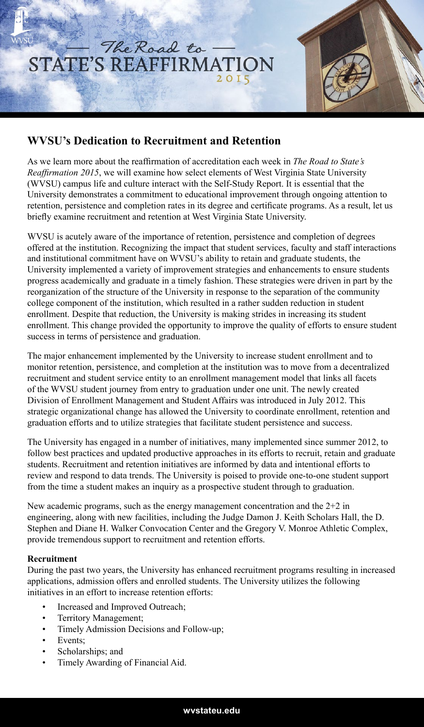

## **WVSU's Dedication to Recruitment and Retention**

As we learn more about the reaffirmation of accreditation each week in *The Road to State's Reaffirmation 2015*, we will examine how select elements of West Virginia State University (WVSU) campus life and culture interact with the Self-Study Report. It is essential that the University demonstrates a commitment to educational improvement through ongoing attention to retention, persistence and completion rates in its degree and certificate programs. As a result, let us briefly examine recruitment and retention at West Virginia State University.

WVSU is acutely aware of the importance of retention, persistence and completion of degrees offered at the institution. Recognizing the impact that student services, faculty and staff interactions and institutional commitment have on WVSU's ability to retain and graduate students, the University implemented a variety of improvement strategies and enhancements to ensure students progress academically and graduate in a timely fashion. These strategies were driven in part by the reorganization of the structure of the University in response to the separation of the community college component of the institution, which resulted in a rather sudden reduction in student enrollment. Despite that reduction, the University is making strides in increasing its student enrollment. This change provided the opportunity to improve the quality of efforts to ensure student success in terms of persistence and graduation.

The major enhancement implemented by the University to increase student enrollment and to monitor retention, persistence, and completion at the institution was to move from a decentralized recruitment and student service entity to an enrollment management model that links all facets of the WVSU student journey from entry to graduation under one unit. The newly created Division of Enrollment Management and Student Affairs was introduced in July 2012. This strategic organizational change has allowed the University to coordinate enrollment, retention and graduation efforts and to utilize strategies that facilitate student persistence and success.

The University has engaged in a number of initiatives, many implemented since summer 2012, to follow best practices and updated productive approaches in its efforts to recruit, retain and graduate students. Recruitment and retention initiatives are informed by data and intentional efforts to review and respond to data trends. The University is poised to provide one-to-one student support from the time a student makes an inquiry as a prospective student through to graduation.

New academic programs, such as the energy management concentration and the  $2+2$  in engineering, along with new facilities, including the Judge Damon J. Keith Scholars Hall, the D. Stephen and Diane H. Walker Convocation Center and the Gregory V. Monroe Athletic Complex, provide tremendous support to recruitment and retention efforts.

## **Recruitment**

During the past two years, the University has enhanced recruitment programs resulting in increased applications, admission offers and enrolled students. The University utilizes the following initiatives in an effort to increase retention efforts:

- Increased and Improved Outreach;
- Territory Management;
- Timely Admission Decisions and Follow-up;
- Events;
- Scholarships; and
- Timely Awarding of Financial Aid.